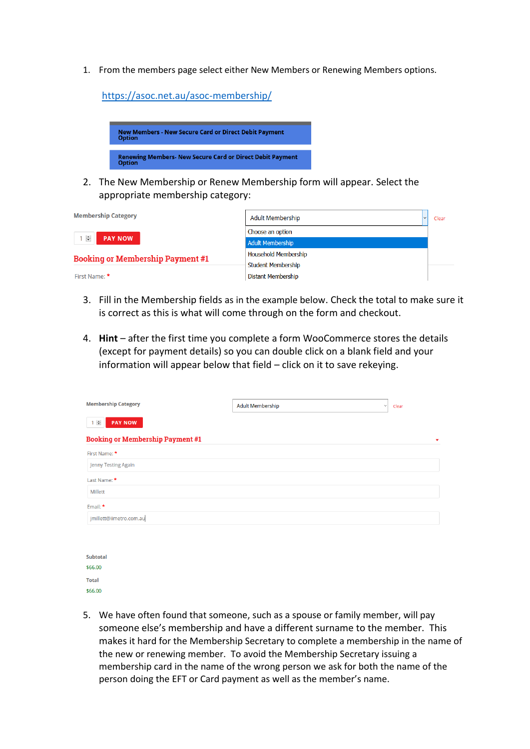1. From the members page select either New Members or Renewing Members options.

<https://asoc.net.au/asoc-membership/>



2. The New Membership or Renew Membership form will appear. Select the appropriate membership category:

| <b>Membership Category</b>              | <b>Adult Membership</b>     | Clear |
|-----------------------------------------|-----------------------------|-------|
|                                         | Choose an option            |       |
| $1 \div$<br><b>PAY NOW</b>              | <b>Adult Membership</b>     |       |
| <b>Booking or Membership Payment #1</b> | <b>Household Membership</b> |       |
|                                         | <b>Student Membership</b>   |       |
| First Name: *                           | <b>Distant Membership</b>   |       |

- 3. Fill in the Membership fields as in the example below. Check the total to make sure it is correct as this is what will come through on the form and checkout.
- 4. **Hint**  after the first time you complete a form WooCommerce stores the details (except for payment details) so you can double click on a blank field and your information will appear below that field – click on it to save rekeying.

| <b>Membership Category</b>              | <b>Adult Membership</b> | Clear<br>$\checkmark$ |
|-----------------------------------------|-------------------------|-----------------------|
| $1 \nightharpoonup$<br><b>PAY NOW</b>   |                         |                       |
| <b>Booking or Membership Payment #1</b> |                         | ▼                     |
| First Name: *                           |                         |                       |
| Jenny Testing Again                     |                         |                       |
| Last Name: *                            |                         |                       |
| <b>Millett</b>                          |                         |                       |
| Email: *                                |                         |                       |
| jmillett@iimetro.com.au                 |                         |                       |
|                                         |                         |                       |

| Subtotal |
|----------|
| \$66.00  |
| Total    |
| \$66,00  |

5. We have often found that someone, such as a spouse or family member, will pay someone else's membership and have a different surname to the member. This makes it hard for the Membership Secretary to complete a membership in the name of the new or renewing member. To avoid the Membership Secretary issuing a membership card in the name of the wrong person we ask for both the name of the person doing the EFT or Card payment as well as the member's name.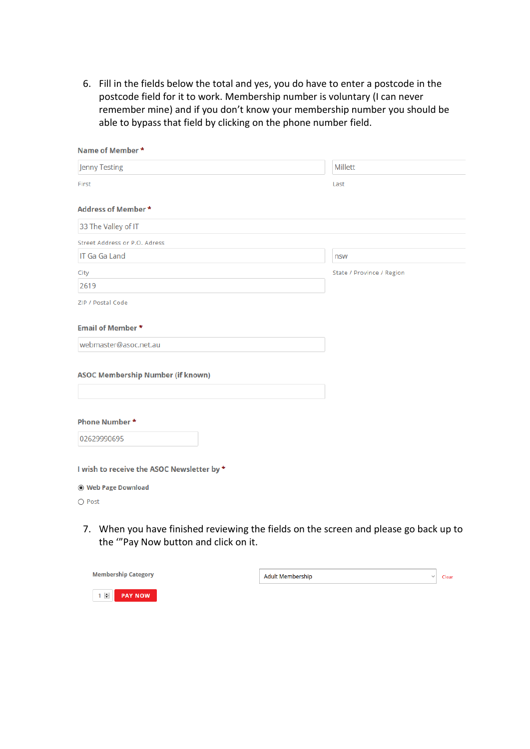6. Fill in the fields below the total and yes, you do have to enter a postcode in the postcode field for it to work. Membership number is voluntary (I can never remember mine) and if you don't know your membership number you should be able to bypass that field by clicking on the phone number field.

| Name of Member *                           |                           |
|--------------------------------------------|---------------------------|
| <b>Jenny Testing</b>                       | <b>Millett</b>            |
| First                                      | Last                      |
| Address of Member *                        |                           |
| 33 The Valley of IT                        |                           |
| Street Address or P.O. Adress              |                           |
| <b>IT Ga Ga Land</b>                       | nsw                       |
| City                                       | State / Province / Region |
| 2619                                       |                           |
| ZIP / Postal Code                          |                           |
| <b>Email of Member *</b>                   |                           |
| webmaster@asoc.net.au                      |                           |
| <b>ASOC Membership Number (if known)</b>   |                           |
| <b>Phone Number*</b>                       |                           |
| 02629990695                                |                           |
| I wish to receive the ASOC Newsletter by * |                           |
| ◉ Web Page Download                        |                           |
| ○ Post                                     |                           |
|                                            |                           |

7. When you have finished reviewing the fields on the screen and please go back up to the '"Pay Now button and click on it.

| <b>Membership Category</b>                    | <b>Adult Membership</b><br>$\checkmark$ | Clear |
|-----------------------------------------------|-----------------------------------------|-------|
| $1$ $\oplus$ $\blacksquare$<br><b>PAY NOW</b> |                                         |       |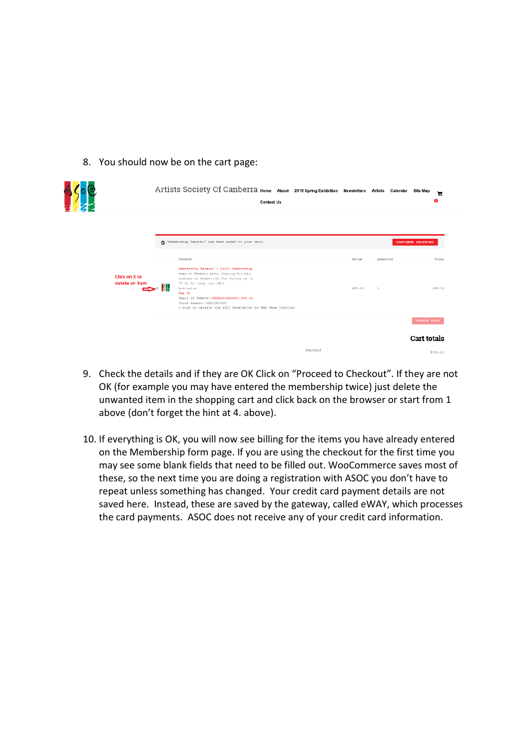### 8. You should now be on the cart page:

|                                        |             | Artists Society Of Canberra Home About 2019 Spring Exhibition Newsletters Artists Calendar<br><b>Contact Us</b>                                                                                                                |          |            |                | <b>Site Map</b><br>Έ<br>œ |
|----------------------------------------|-------------|--------------------------------------------------------------------------------------------------------------------------------------------------------------------------------------------------------------------------------|----------|------------|----------------|---------------------------|
|                                        | ⌀           | "Hembership Renewal" has been added to your cart.                                                                                                                                                                              |          |            |                | CONTINUE SHOPPING         |
|                                        |             | Product<br>Membership Renewal - Adult Hembership<br>Name of Nember: Jenny Testing Millett                                                                                                                                      |          | $P_{T100}$ | Quantity       | <b>Total</b>              |
| <b>Click on X to</b><br>delete an item | $\times$ 11 | Address of Member: 33 The Valley of IT<br>IT Ga Ga Land, now 2619<br>Australia<br>Han It<br>Email of Hember: webmaster@ascc.net.au<br>Phone Number: 02629990695<br>I wish to receive the ASOC Newsletter by: Web Page Download |          | 866.00     | $\overline{1}$ | \$66.00                   |
|                                        |             |                                                                                                                                                                                                                                |          |            |                | <b>UPDATE CART</b>        |
|                                        |             |                                                                                                                                                                                                                                |          |            |                | <b>Cart totals</b>        |
|                                        |             |                                                                                                                                                                                                                                | Subtotal |            |                | \$68.00                   |

- 9. Check the details and if they are OK Click on "Proceed to Checkout". If they are not OK (for example you may have entered the membership twice) just delete the unwanted item in the shopping cart and click back on the browser or start from 1 above (don't forget the hint at 4. above).
- 10. If everything is OK, you will now see billing for the items you have already entered on the Membership form page. If you are using the checkout for the first time you may see some blank fields that need to be filled out. WooCommerce saves most of these, so the next time you are doing a registration with ASOC you don't have to repeat unless something has changed. Your credit card payment details are not saved here. Instead, these are saved by the gateway, called eWAY, which processes the card payments. ASOC does not receive any of your credit card information.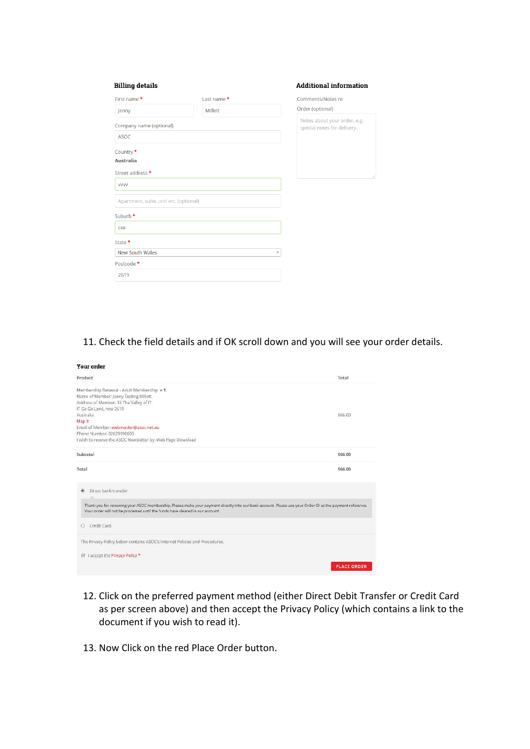| <b>Billing details</b>                 |                | <b>Additional information</b>                               |
|----------------------------------------|----------------|-------------------------------------------------------------|
| First name *                           | Last name*     | <b>Comments/Notes re</b>                                    |
| Jenny                                  | <b>MIllett</b> | Order (optional)                                            |
| Company name (optional)                |                | Notes about your order, e.g.<br>special notes for delivery. |
| <b>ASOC</b>                            |                |                                                             |
| Country *                              |                |                                                             |
| <b>Australia</b>                       |                |                                                             |
| Street address *                       |                |                                                             |
| <b>VVVV</b>                            |                |                                                             |
| Apartment, suite, unit etc. (optional) |                |                                                             |
| Suburb *                               |                |                                                             |
| cse                                    |                |                                                             |
| State *                                |                |                                                             |
| <b>New South Wales</b>                 |                | ▼                                                           |
| Postcode *                             |                |                                                             |
| 2619                                   |                |                                                             |

# 11. Check the field details and if OK scroll down and you will see your order details.

| <b>Your order</b>                                                                                                                                                                                                                         |                    |
|-------------------------------------------------------------------------------------------------------------------------------------------------------------------------------------------------------------------------------------------|--------------------|
| Product                                                                                                                                                                                                                                   | Total              |
| Membership Renewal - Adult Membership x 1                                                                                                                                                                                                 |                    |
| Name of Member: Jenny Testing Millett                                                                                                                                                                                                     |                    |
| Address of Member: 33 The Valley of IT                                                                                                                                                                                                    |                    |
| IT Ga Ga Land, nsw 2619                                                                                                                                                                                                                   |                    |
| Australia                                                                                                                                                                                                                                 | \$66.00            |
| Map It                                                                                                                                                                                                                                    |                    |
| Email of Member: webmaster@asoc.net.au                                                                                                                                                                                                    |                    |
| Phone Number: 02629990695                                                                                                                                                                                                                 |                    |
| I wish to receive the ASOC Newsletter by: Web Page Download                                                                                                                                                                               |                    |
| Subtotal                                                                                                                                                                                                                                  | \$66,00            |
| Total                                                                                                                                                                                                                                     | \$66,00            |
| Direct bank transfer<br>$\left( \widehat{\bullet} \right)$                                                                                                                                                                                |                    |
|                                                                                                                                                                                                                                           |                    |
| Thank you for renewing your ASOC membership. Please make your payment directly into our bank account. Please use your Order ID as the payment reference.<br>Your order will not be processed until the funds have cleared in our account. |                    |
| Credit Card<br>O                                                                                                                                                                                                                          |                    |
| The Privacy Policy below contains ASOC's Internet Policies and Procedures.                                                                                                                                                                |                    |
| M I accept the Privacy Policy *                                                                                                                                                                                                           |                    |
|                                                                                                                                                                                                                                           |                    |
|                                                                                                                                                                                                                                           | <b>PLACE ORDER</b> |

- 12. Click on the preferred payment method (either Direct Debit Transfer or Credit Card as per screen above) and then accept the Privacy Policy (which contains a link to the document if you wish to read it).
- 13. Now Click on the red Place Order button.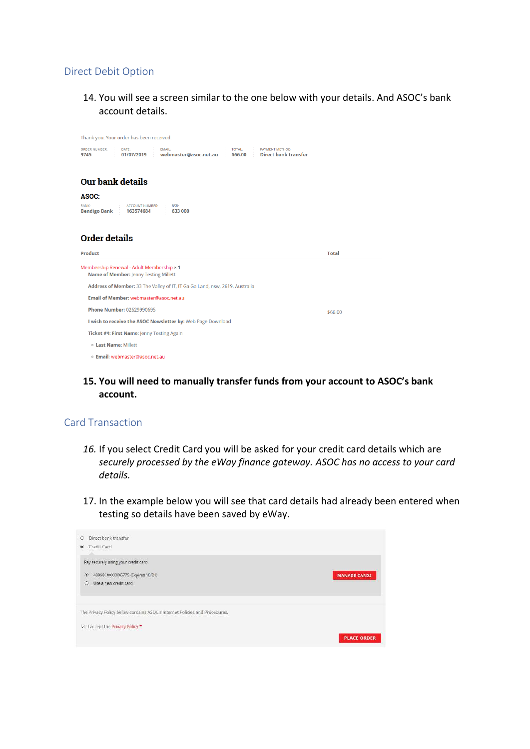## Direct Debit Option

14. You will see a screen similar to the one below with your details. And ASOC's bank account details.

| Thank you. Your order has been received.                                                                                                                                           |              |
|------------------------------------------------------------------------------------------------------------------------------------------------------------------------------------|--------------|
| <b>PAYMENT METHOD:</b><br><b>ORDER NUMBER:</b><br>DATE:<br><b>EMAIL:</b><br><b>TOTAL:</b><br><b>Direct bank transfer</b><br>webmaster@asoc.net.au<br>01/07/2019<br>\$66.00<br>9745 |              |
| <b>Our bank details</b>                                                                                                                                                            |              |
| ASOC:                                                                                                                                                                              |              |
| <b>BANK:</b><br><b>ACCOUNT NUMBER:</b><br>BSB:<br><b>Bendigo Bank</b><br>163574684<br>633 000                                                                                      |              |
| <b>Order details</b>                                                                                                                                                               |              |
|                                                                                                                                                                                    |              |
| Product                                                                                                                                                                            | <b>Total</b> |
| Membership Renewal - Adult Membership × 1<br>Name of Member: Jenny Testing Millett                                                                                                 |              |
| Address of Member: 33 The Valley of IT, IT Ga Ga Land, nsw, 2619, Australia                                                                                                        |              |
| Email of Member: webmaster@asoc.net.au                                                                                                                                             |              |
| <b>Phone Number: 02629990695</b>                                                                                                                                                   | \$66.00      |
| I wish to receive the ASOC Newsletter by: Web Page Download                                                                                                                        |              |
| Ticket #1: First Name: Jenny Testing Again                                                                                                                                         |              |
| <b>Last Name: Millett</b>                                                                                                                                                          |              |

# **15. You will need to manually transfer funds from your account to ASOC's bank account.**

### Card Transaction

- *16.* If you select Credit Card you will be asked for your credit card details which are *securely processed by the eWay finance gateway. ASOC has no access to your card details.*
- 17. In the example below you will see that card details had already been entered when testing so details have been saved by eWay.